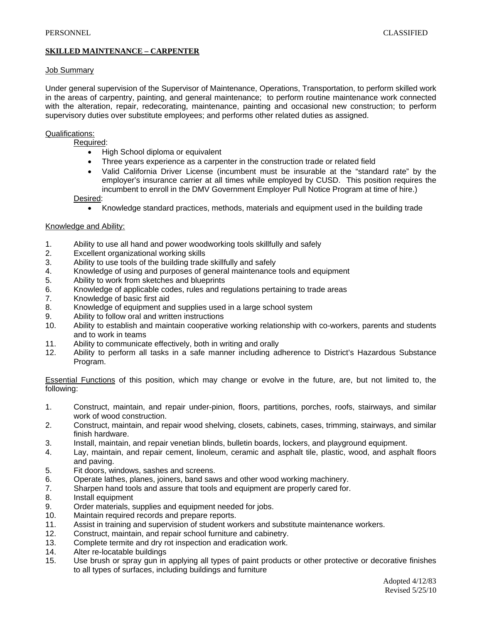# **SKILLED MAINTENANCE – CARPENTER**

#### Job Summary

Under general supervision of the Supervisor of Maintenance, Operations, Transportation, to perform skilled work in the areas of carpentry, painting, and general maintenance; to perform routine maintenance work connected with the alteration, repair, redecorating, maintenance, painting and occasional new construction; to perform supervisory duties over substitute employees; and performs other related duties as assigned.

### Qualifications:

Required:

- High School diploma or equivalent
- Three years experience as a carpenter in the construction trade or related field
- Valid California Driver License (incumbent must be insurable at the "standard rate" by the employer's insurance carrier at all times while employed by CUSD. This position requires the incumbent to enroll in the DMV Government Employer Pull Notice Program at time of hire.)

Desired:

• Knowledge standard practices, methods, materials and equipment used in the building trade

### Knowledge and Ability:

- 1. Ability to use all hand and power woodworking tools skillfully and safely
- 2. Excellent organizational working skills
- 3. Ability to use tools of the building trade skillfully and safely
- 4. Knowledge of using and purposes of general maintenance tools and equipment
- 5. Ability to work from sketches and blueprints
- 6. Knowledge of applicable codes, rules and regulations pertaining to trade areas
- 7. Knowledge of basic first aid
- 8. Knowledge of equipment and supplies used in a large school system
- 9. Ability to follow oral and written instructions
- 10. Ability to establish and maintain cooperative working relationship with co-workers, parents and students and to work in teams
- 11. Ability to communicate effectively, both in writing and orally
- 12. Ability to perform all tasks in a safe manner including adherence to District's Hazardous Substance Program.

Essential Functions of this position, which may change or evolve in the future, are, but not limited to, the following:

- 1. Construct, maintain, and repair under-pinion, floors, partitions, porches, roofs, stairways, and similar work of wood construction.
- 2. Construct, maintain, and repair wood shelving, closets, cabinets, cases, trimming, stairways, and similar finish hardware.
- 3. Install, maintain, and repair venetian blinds, bulletin boards, lockers, and playground equipment.
- 4. Lay, maintain, and repair cement, linoleum, ceramic and asphalt tile, plastic, wood, and asphalt floors and paving.
- 5. Fit doors, windows, sashes and screens.
- 6. Operate lathes, planes, joiners, band saws and other wood working machinery.
- 7. Sharpen hand tools and assure that tools and equipment are properly cared for.
- 8. Install equipment
- 9. Order materials, supplies and equipment needed for jobs.
- 10. Maintain required records and prepare reports.
- 11. Assist in training and supervision of student workers and substitute maintenance workers.
- 12. Construct, maintain, and repair school furniture and cabinetry.
- 13. Complete termite and dry rot inspection and eradication work.
- 14. Alter re-locatable buildings
- 15. Use brush or spray gun in applying all types of paint products or other protective or decorative finishes to all types of surfaces, including buildings and furniture